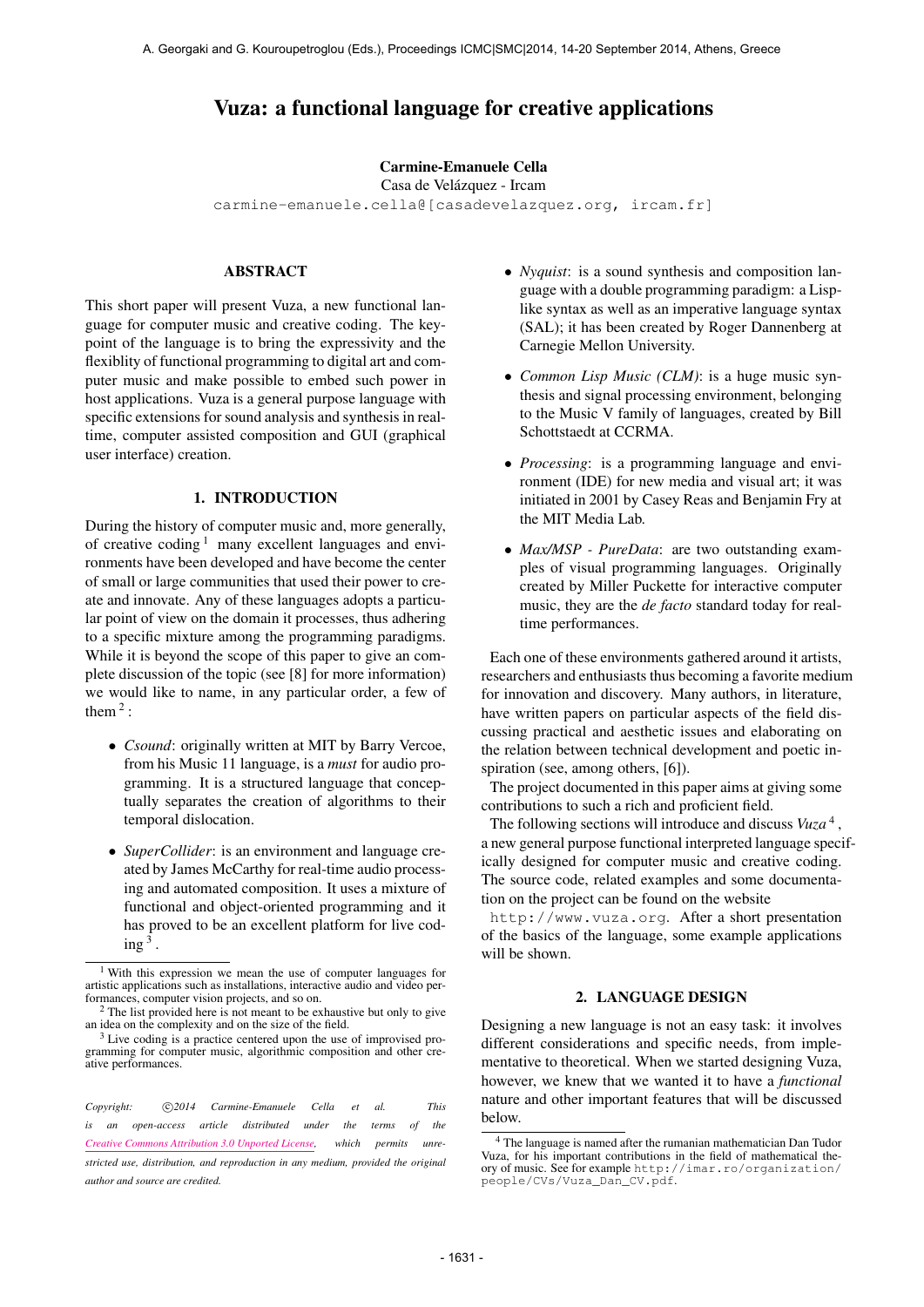# Vuza: a functional language for creative applications

### Carmine-Emanuele Cella

Casa de Velázquez - Ircam

[carmine-emanuele.cella@\[casadevelazquez.org, ircam.fr\]](mailto:carmine-emanuele.cella@ircam.fr)

# ABSTRACT

This short paper will present Vuza, a new functional language for computer music and creative coding. The keypoint of the language is to bring the expressivity and the flexiblity of functional programming to digital art and computer music and make possible to embed such power in host applications. Vuza is a general purpose language with specific extensions for sound analysis and synthesis in realtime, computer assisted composition and GUI (graphical user interface) creation.

#### 1. INTRODUCTION

During the history of computer music and, more generally, of creative coding  $\frac{1}{2}$  many excellent languages and environments have been developed and have become the center of small or large communities that used their power to create and innovate. Any of these languages adopts a particular point of view on the domain it processes, thus adhering to a specific mixture among the programming paradigms. While it is beyond the scope of this paper to give an complete discussion of the topic (see [8] for more information) we would like to name, in any particular order, a few of them  $2$ :

- *Csound*: originally written at MIT by Barry Vercoe, from his Music 11 language, is a *must* for audio programming. It is a structured language that conceptually separates the creation of algorithms to their temporal dislocation.
- *SuperCollider*: is an environment and language created by James McCarthy for real-time audio processing and automated composition. It uses a mixture of functional and object-oriented programming and it has proved to be an excellent platform for live cod- $\text{ing}^3$  .
- *Nyquist*: is a sound synthesis and composition language with a double programming paradigm: a Lisplike syntax as well as an imperative language syntax (SAL); it has been created by Roger Dannenberg at Carnegie Mellon University.
- *Common Lisp Music (CLM)*: is a huge music synthesis and signal processing environment, belonging to the Music V family of languages, created by Bill Schottstaedt at CCRMA.
- *Processing*: is a programming language and environment (IDE) for new media and visual art; it was initiated in 2001 by Casey Reas and Benjamin Fry at the MIT Media Lab.
- *Max/MSP PureData*: are two outstanding examples of visual programming languages. Originally created by Miller Puckette for interactive computer music, they are the *de facto* standard today for realtime performances.

Each one of these environments gathered around it artists, researchers and enthusiasts thus becoming a favorite medium for innovation and discovery. Many authors, in literature, have written papers on particular aspects of the field discussing practical and aesthetic issues and elaborating on the relation between technical development and poetic inspiration (see, among others, [6]).

The project documented in this paper aims at giving some contributions to such a rich and proficient field.

The following sections will introduce and discuss *Vuza* 4 , a new general purpose functional interpreted language specifically designed for computer music and creative coding. The source code, related examples and some documentation on the project can be found on the website

<http://www.vuza.org>. After a short presentation of the basics of the language, some example applications will be shown.

# 2. LANGUAGE DESIGN

Designing a new language is not an easy task: it involves different considerations and specific needs, from implementative to theoretical. When we started designing Vuza, however, we knew that we wanted it to have a *functional* nature and other important features that will be discussed below.

<sup>1</sup> With this expression we mean the use of computer languages for artistic applications such as installations, interactive audio and video performances, computer vision projects, and so on.

<sup>&</sup>lt;sup>2</sup> The list provided here is not meant to be exhaustive but only to give an idea on the complexity and on the size of the field.

<sup>&</sup>lt;sup>3</sup> Live coding is a practice centered upon the use of improvised programming for computer music, algorithmic composition and other creative performances.

Copyright:  $\bigcirc$  2014 Carmine-Emanuele Cella et al. This *is an open-access article distributed under the terms of the [Creative Commons Attribution 3.0 Unported License,](http://creativecommons.org/licenses/by/3.0/) which permits unrestricted use, distribution, and reproduction in any medium, provided the original author and source are credited.*

<sup>4</sup> The language is named after the rumanian mathematician Dan Tudor Vuza, for his important contributions in the field of mathematical theory of music. See for example [http://imar.ro/organization/](http://imar.ro/organization/people/CVs/Vuza_Dan_CV.pdf) [people/CVs/Vuza\\_Dan\\_CV.pdf](http://imar.ro/organization/people/CVs/Vuza_Dan_CV.pdf).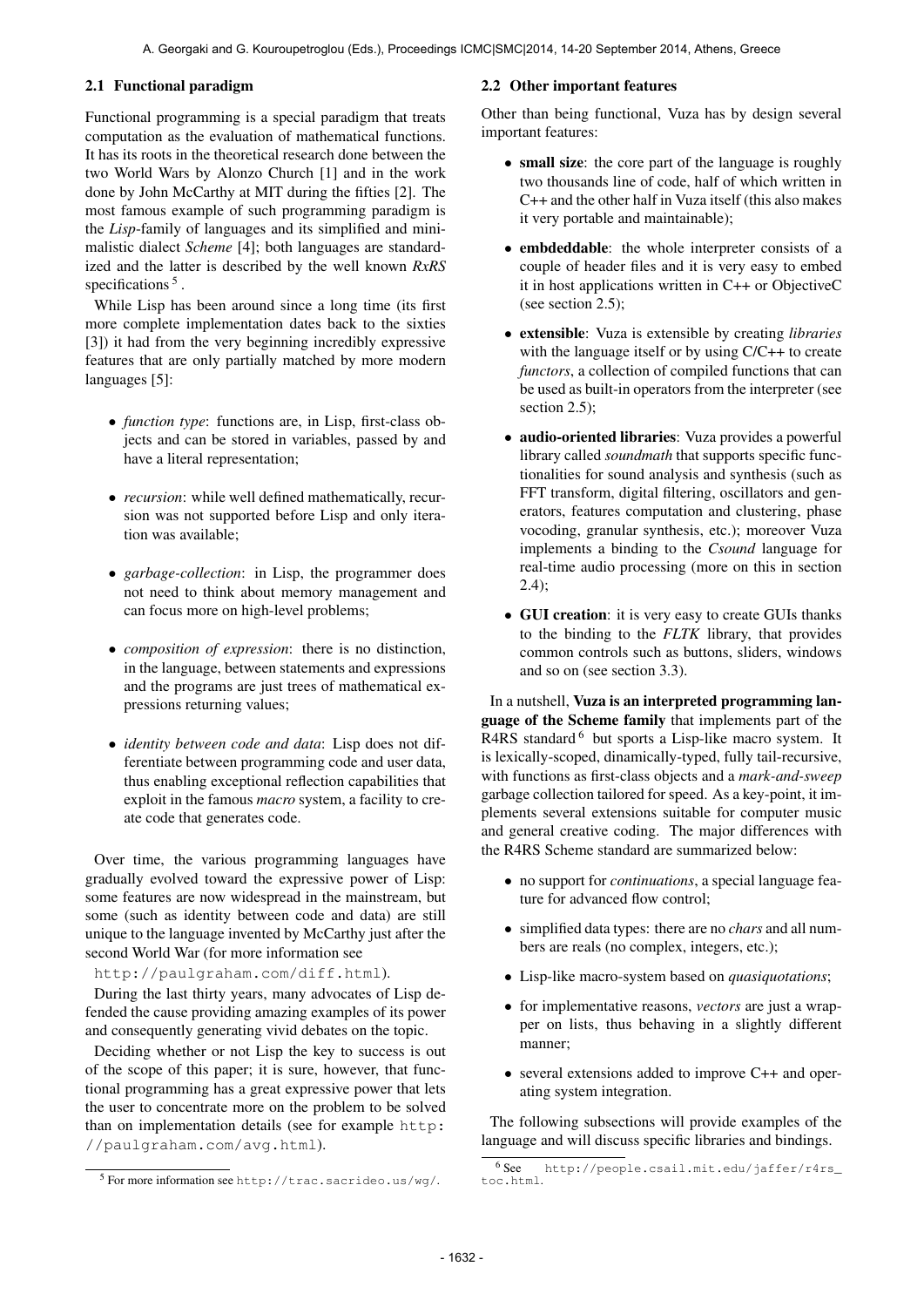# 2.1 Functional paradigm

Functional programming is a special paradigm that treats computation as the evaluation of mathematical functions. It has its roots in the theoretical research done between the two World Wars by Alonzo Church [1] and in the work done by John McCarthy at MIT during the fifties [2]. The most famous example of such programming paradigm is the *Lisp*-family of languages and its simplified and minimalistic dialect *Scheme* [4]; both languages are standardized and the latter is described by the well known *RxRS* specifications<sup>5</sup>.

While Lisp has been around since a long time (its first more complete implementation dates back to the sixties [3]) it had from the very beginning incredibly expressive features that are only partially matched by more modern languages [5]:

- *function type*: functions are, in Lisp, first-class objects and can be stored in variables, passed by and have a literal representation;
- *recursion*: while well defined mathematically, recursion was not supported before Lisp and only iteration was available;
- *garbage-collection*: in Lisp, the programmer does not need to think about memory management and can focus more on high-level problems;
- *composition of expression*: there is no distinction, in the language, between statements and expressions and the programs are just trees of mathematical expressions returning values;
- *identity between code and data*: Lisp does not differentiate between programming code and user data, thus enabling exceptional reflection capabilities that exploit in the famous *macro* system, a facility to create code that generates code.

Over time, the various programming languages have gradually evolved toward the expressive power of Lisp: some features are now widespread in the mainstream, but some (such as identity between code and data) are still unique to the language invented by McCarthy just after the second World War (for more information see

<http://paulgraham.com/diff.html>).

During the last thirty years, many advocates of Lisp defended the cause providing amazing examples of its power and consequently generating vivid debates on the topic.

Deciding whether or not Lisp the key to success is out of the scope of this paper; it is sure, however, that functional programming has a great expressive power that lets the user to concentrate more on the problem to be solved than on implementation details (see for example [http:](http://paulgraham.com/avg.html) [//paulgraham.com/avg.html](http://paulgraham.com/avg.html)).

### 2.2 Other important features

Other than being functional, Vuza has by design several important features:

- small size: the core part of the language is roughly two thousands line of code, half of which written in C++ and the other half in Vuza itself (this also makes it very portable and maintainable);
- embdeddable: the whole interpreter consists of a couple of header files and it is very easy to embed it in host applications written in C++ or ObjectiveC (see section 2.5);
- extensible: Vuza is extensible by creating *libraries* with the language itself or by using  $C/C++$  to create *functors*, a collection of compiled functions that can be used as built-in operators from the interpreter (see section 2.5);
- audio-oriented libraries: Vuza provides a powerful library called *soundmath* that supports specific functionalities for sound analysis and synthesis (such as FFT transform, digital filtering, oscillators and generators, features computation and clustering, phase vocoding, granular synthesis, etc.); moreover Vuza implements a binding to the *Csound* language for real-time audio processing (more on this in section 2.4);
- GUI creation: it is very easy to create GUIs thanks to the binding to the *FLTK* library, that provides common controls such as buttons, sliders, windows and so on (see section 3.3).

In a nutshell, Vuza is an interpreted programming language of the Scheme family that implements part of the R4RS standard <sup>6</sup> but sports a Lisp-like macro system. It is lexically-scoped, dinamically-typed, fully tail-recursive, with functions as first-class objects and a *mark-and-sweep* garbage collection tailored for speed. As a key-point, it implements several extensions suitable for computer music and general creative coding. The major differences with the R4RS Scheme standard are summarized below:

- no support for *continuations*, a special language feature for advanced flow control;
- simplified data types: there are no *chars* and all numbers are reals (no complex, integers, etc.);
- Lisp-like macro-system based on *quasiquotations*;
- for implementative reasons, *vectors* are just a wrapper on lists, thus behaving in a slightly different manner;
- several extensions added to improve C++ and operating system integration.

The following subsections will provide examples of the language and will discuss specific libraries and bindings.

<sup>5</sup> For more information see <http://trac.sacrideo.us/wg/>.

<sup>6</sup> See [http://people.csail.mit.edu/jaffer/r4rs\\_](http://people.csail.mit.edu/jaffer/r4rs_toc.html) [toc.html](http://people.csail.mit.edu/jaffer/r4rs_toc.html).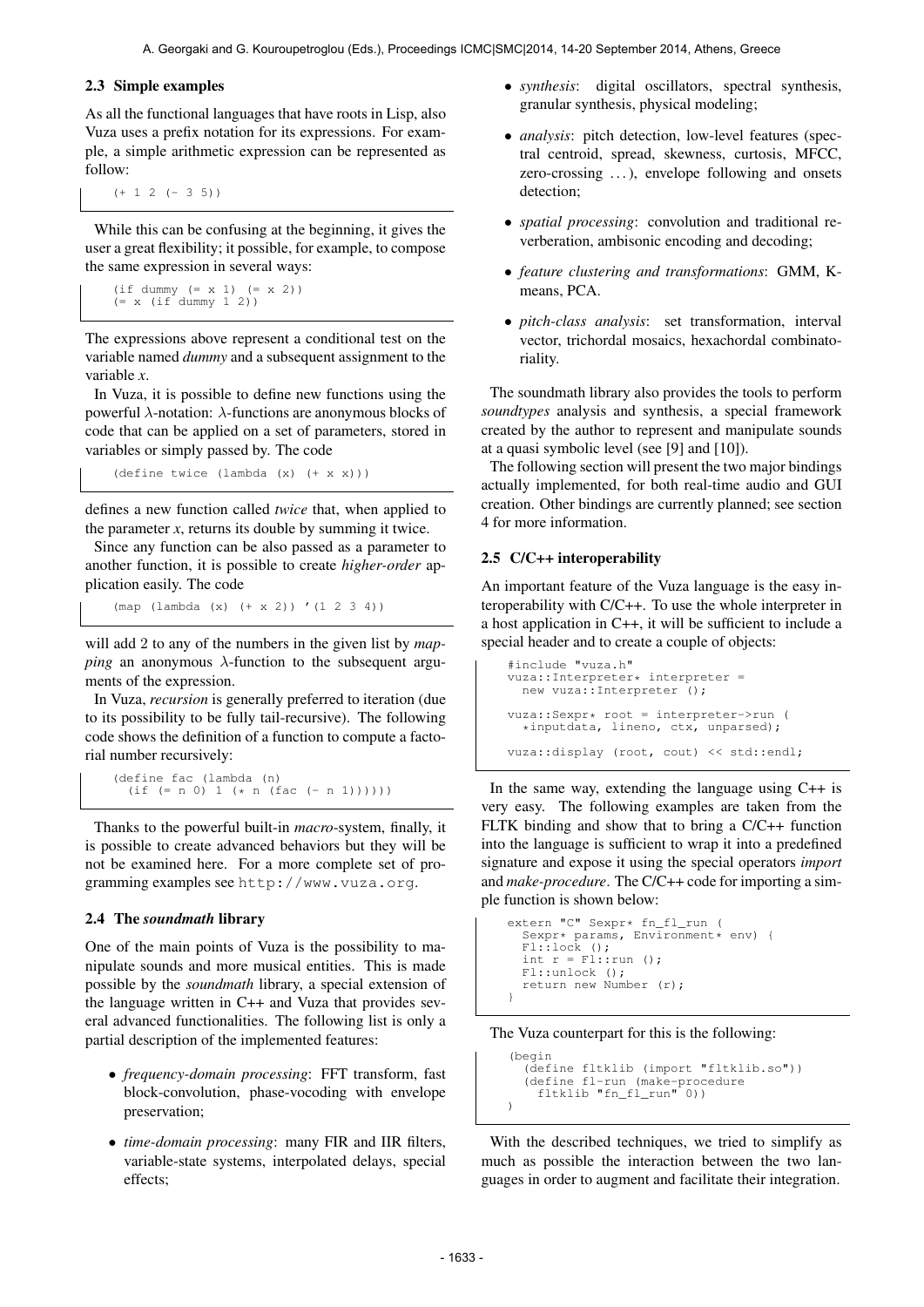#### 2.3 Simple examples

As all the functional languages that have roots in Lisp, also Vuza uses a prefix notation for its expressions. For example, a simple arithmetic expression can be represented as follow:

 $(+ 1 2 (-3 5))$ 

While this can be confusing at the beginning, it gives the user a great flexibility; it possible, for example, to compose the same expression in several ways:

```
(if dummy (= x 1) (= x 2))
(= x (if dummy 1 2))
```
The expressions above represent a conditional test on the variable named *dummy* and a subsequent assignment to the variable *x*.

In Vuza, it is possible to define new functions using the powerful λ-notation: λ-functions are anonymous blocks of code that can be applied on a set of parameters, stored in variables or simply passed by. The code

(define twice (lambda (x) (+ x x)))

defines a new function called *twice* that, when applied to the parameter  $x$ , returns its double by summing it twice.

Since any function can be also passed as a parameter to another function, it is possible to create *higher-order* application easily. The code

(map (lambda (x) (+ x 2)) '(1 2 3 4))

will add 2 to any of the numbers in the given list by *mapping* an anonymous  $\lambda$ -function to the subsequent arguments of the expression.

In Vuza, *recursion* is generally preferred to iteration (due to its possibility to be fully tail-recursive). The following code shows the definition of a function to compute a factorial number recursively:

(define fac (lambda (n) (if (= n 0) 1 (\* n (fac (- n 1))))))

Thanks to the powerful built-in *macro*-system, finally, it is possible to create advanced behaviors but they will be not be examined here. For a more complete set of programming examples see <http://www.vuza.org>.

#### 2.4 The *soundmath* library

One of the main points of Vuza is the possibility to manipulate sounds and more musical entities. This is made possible by the *soundmath* library, a special extension of the language written in C++ and Vuza that provides several advanced functionalities. The following list is only a partial description of the implemented features:

- *frequency-domain processing*: FFT transform, fast block-convolution, phase-vocoding with envelope preservation;
- *time-domain processing*: many FIR and IIR filters, variable-state systems, interpolated delays, special effects;
- *synthesis*: digital oscillators, spectral synthesis, granular synthesis, physical modeling;
- *analysis*: pitch detection, low-level features (spectral centroid, spread, skewness, curtosis, MFCC, zero-crossing ...), envelope following and onsets detection;
- *spatial processing*: convolution and traditional reverberation, ambisonic encoding and decoding;
- *feature clustering and transformations*: GMM, Kmeans, PCA.
- *pitch-class analysis*: set transformation, interval vector, trichordal mosaics, hexachordal combinatoriality.

The soundmath library also provides the tools to perform *soundtypes* analysis and synthesis, a special framework created by the author to represent and manipulate sounds at a quasi symbolic level (see [9] and [10]).

The following section will present the two major bindings actually implemented, for both real-time audio and GUI creation. Other bindings are currently planned; see section 4 for more information.

#### 2.5 C/C++ interoperability

An important feature of the Vuza language is the easy interoperability with C/C++. To use the whole interpreter in a host application in C++, it will be sufficient to include a special header and to create a couple of objects:

```
#include "vuza.h"
vuza::Interpreter* interpreter =
 new vuza::Interpreter ();
vuza::Sexpr* root = interpreter->run (
  *inputdata, lineno, ctx, unparsed);
vuza::display (root, cout) << std::endl;
```
In the same way, extending the language using C++ is very easy. The following examples are taken from the FLTK binding and show that to bring a C/C++ function into the language is sufficient to wrap it into a predefined signature and expose it using the special operators *import* and *make-procedure*. The C/C++ code for importing a simple function is shown below:

```
extern "C" Sexpr* fn_fl_run (
  Sexpr* params, Environment* env) {<br>Fl::lock ();
  int r = \text{Fl:run} ();
  Fl::unlock ();
  return new Number (r);
}
```
#### The Vuza counterpart for this is the following:

(begin

```
(define fltklib (import "fltklib.so"))
(define fl-run (make-procedure
fltklib "fn_fl_run" 0))
)
```
With the described techniques, we tried to simplify as much as possible the interaction between the two languages in order to augment and facilitate their integration.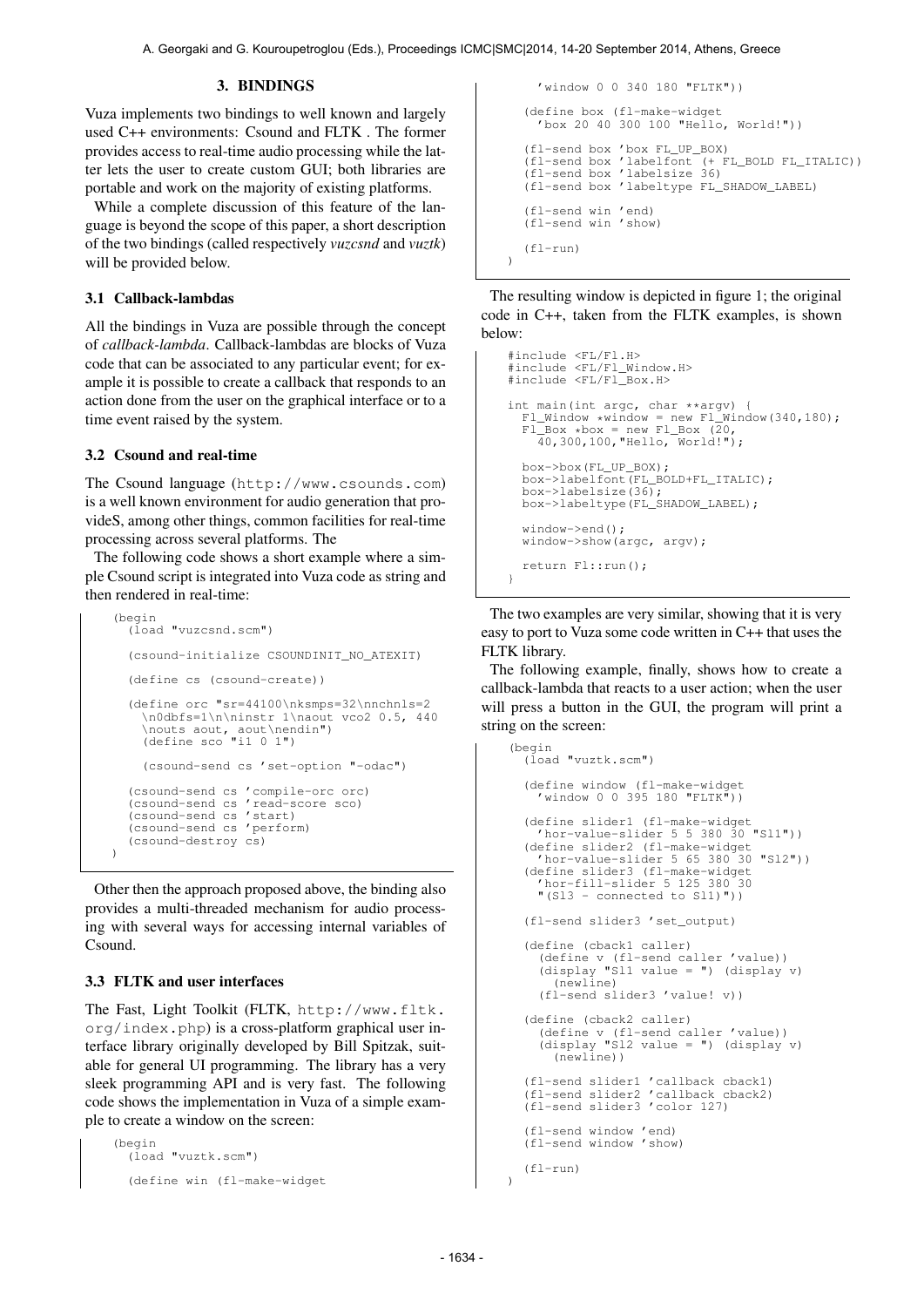### 3. BINDINGS

Vuza implements two bindings to well known and largely used C++ environments: Csound and FLTK . The former provides access to real-time audio processing while the latter lets the user to create custom GUI; both libraries are portable and work on the majority of existing platforms.

While a complete discussion of this feature of the language is beyond the scope of this paper, a short description of the two bindings (called respectively *vuzcsnd* and *vuztk*) will be provided below.

# 3.1 Callback-lambdas

All the bindings in Vuza are possible through the concept of *callback-lambda*. Callback-lambdas are blocks of Vuza code that can be associated to any particular event; for example it is possible to create a callback that responds to an action done from the user on the graphical interface or to a time event raised by the system.

# 3.2 Csound and real-time

The Csound language (<http://www.csounds.com>) is a well known environment for audio generation that provideS, among other things, common facilities for real-time processing across several platforms. The

The following code shows a short example where a simple Csound script is integrated into Vuza code as string and then rendered in real-time:

```
(begin
  (load "vuzcsnd.scm")
  (csound-initialize CSOUNDINIT_NO_ATEXIT)
  (define cs (csound-create))
  (define orc "sr=44100\nksmps=32\nnchnls=2
     \n0dbfs=1\n\ninstr 1\naout vco2 0.5, 440
    \nouts aout, aout\nendin")
(define sco "i1 0 1")
    (csound-send cs 'set-option "-odac")
  (csound-send cs 'compile-orc orc)
  (csound-send cs 'read-score sco)
  (csound-send cs 'start)
  (csound-send cs 'perform)
  (csound-destroy cs)
)
```
Other then the approach proposed above, the binding also provides a multi-threaded mechanism for audio processing with several ways for accessing internal variables of Csound.

# 3.3 FLTK and user interfaces

The Fast, Light Toolkit (FLTK, [http://www.fltk.](http://www.fltk.org/index.php) [org/index.php](http://www.fltk.org/index.php)) is a cross-platform graphical user interface library originally developed by Bill Spitzak, suitable for general UI programming. The library has a very sleek programming API and is very fast. The following code shows the implementation in Vuza of a simple example to create a window on the screen:

```
(begin
  (load "vuztk.scm")
  (define win (fl-make-widget
```

```
'window 0 0 340 180 "FLTK"))
  (define box (fl-make-widget
'box 20 40 300 100 "Hello, World!"))
   (fl-send box 'box FL_UP_BOX)
   (fl-send box 'labelfont (+ FL_BOLD FL_ITALIC))
  (fl-send box 'labelsize 36)
(fl-send box 'labeltype FL_SHADOW_LABEL)
  (fl-send win 'end)
(fl-send win 'show)
   (f1-run))
```
The resulting window is depicted in figure 1; the original code in C++, taken from the FLTK examples, is shown below:

```
#include <FL/Fl.H>
#include <FL/Fl_Window.H>
#include <FL/Fl_Box.H>
int main(int argc, char **argv)
  FL_Window *window = new Fl_Window(340,180);F1_Box * box = new F1_Box (20, 40, 300, 100, "Hello, World!");box->box(FL_UP_BOX);
box->labelfont(FL_BOLD+FL_ITALIC);
  box->labelsize(36);
  box->labeltype(FL_SHADOW_LABEL);
  window->end();
  window->show(argc, argv):
  return Fl::run();
}
```
The two examples are very similar, showing that it is very easy to port to Vuza some code written in C++ that uses the FLTK library.

The following example, finally, shows how to create a callback-lambda that reacts to a user action; when the user will press a button in the GUI, the program will print a string on the screen:

```
(begin
  (load "vuztk.scm")
  (define window (fl-make-widget
'window 0 0 395 180 "FLTK"))
  (define slider1 (fl-make-widget
'hor-value-slider 5 5 380 30 "Sl1"))
  (define slider2 (fl-make-widget
'hor-value-slider 5 65 380 30 "Sl2"))
  (define slider3 (fl-make-widget
     'hor-fill-slider 5 125 380 30
     "(Sl3 - connected to Sl1)"))
  (fl-send slider3 'set_output)
  (define (cback1 caller)
     (define v (fl-send caller 'value))
(display "Sl1 value = ") (display v)
        (newline)
     (fl-send slider3 'value! v))
  (define (cback2 caller)
     (define v (fl-send caller 'value))
(display "Sl2 value = ") (display v)
        (newline))
  (fl-send slider1 'callback cback1)
(fl-send slider2 'callback cback2)
  (fl-send slider3 'color 127)
  (fl-send window 'end)
  (fl-send window 'show)
  (fl-run)
```
 $\lambda$